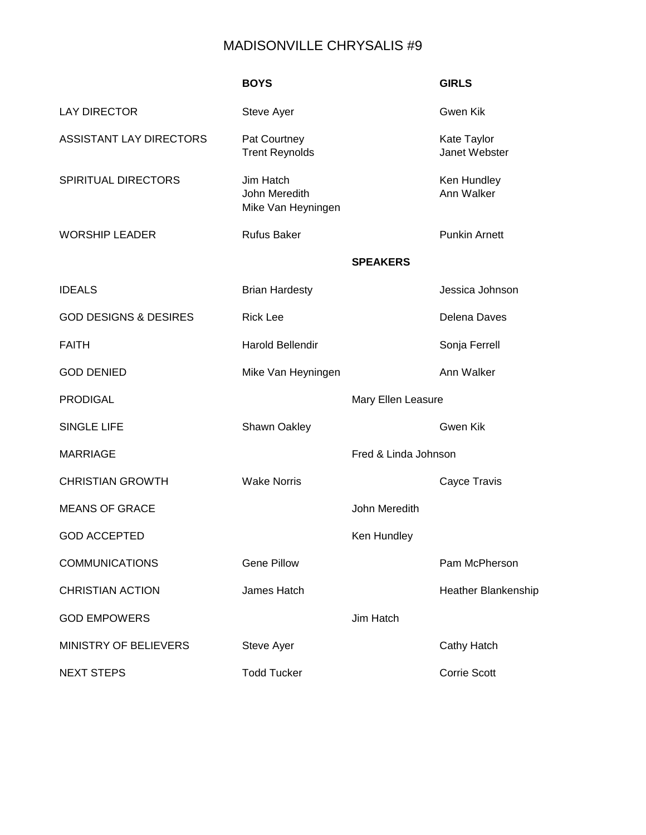## MADISONVILLE CHRYSALIS #9

|                                  | <b>BOYS</b>                                      |                      | <b>GIRLS</b>                 |
|----------------------------------|--------------------------------------------------|----------------------|------------------------------|
| <b>LAY DIRECTOR</b>              | Steve Ayer                                       |                      | Gwen Kik                     |
| <b>ASSISTANT LAY DIRECTORS</b>   | Pat Courtney<br><b>Trent Reynolds</b>            |                      | Kate Taylor<br>Janet Webster |
| SPIRITUAL DIRECTORS              | Jim Hatch<br>John Meredith<br>Mike Van Heyningen |                      | Ken Hundley<br>Ann Walker    |
| <b>WORSHIP LEADER</b>            | <b>Rufus Baker</b>                               |                      | <b>Punkin Arnett</b>         |
|                                  |                                                  | <b>SPEAKERS</b>      |                              |
| <b>IDEALS</b>                    | <b>Brian Hardesty</b>                            |                      | Jessica Johnson              |
| <b>GOD DESIGNS &amp; DESIRES</b> | <b>Rick Lee</b>                                  |                      | Delena Daves                 |
| <b>FAITH</b>                     | <b>Harold Bellendir</b>                          |                      | Sonja Ferrell                |
| <b>GOD DENIED</b>                | Mike Van Heyningen                               |                      | Ann Walker                   |
| <b>PRODIGAL</b>                  |                                                  | Mary Ellen Leasure   |                              |
| <b>SINGLE LIFE</b>               | <b>Shawn Oakley</b>                              |                      | Gwen Kik                     |
| <b>MARRIAGE</b>                  |                                                  | Fred & Linda Johnson |                              |
| <b>CHRISTIAN GROWTH</b>          | <b>Wake Norris</b>                               |                      | Cayce Travis                 |
| <b>MEANS OF GRACE</b>            |                                                  | John Meredith        |                              |
| <b>GOD ACCEPTED</b>              |                                                  | Ken Hundley          |                              |
| <b>COMMUNICATIONS</b>            | <b>Gene Pillow</b>                               |                      | Pam McPherson                |
| <b>CHRISTIAN ACTION</b>          | James Hatch                                      |                      | <b>Heather Blankenship</b>   |
| <b>GOD EMPOWERS</b>              |                                                  | Jim Hatch            |                              |
| <b>MINISTRY OF BELIEVERS</b>     | Steve Ayer                                       |                      | <b>Cathy Hatch</b>           |
| <b>NEXT STEPS</b>                | <b>Todd Tucker</b>                               |                      | <b>Corrie Scott</b>          |